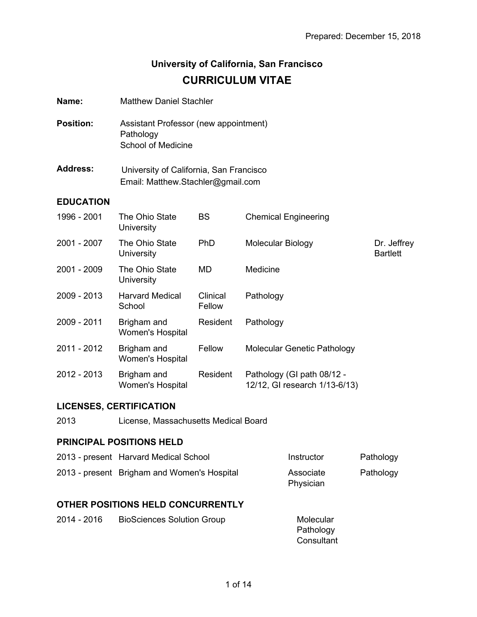Dr. Jeffrey Bartlett

# **University of California, San Francisco CURRICULUM VITAE**

| Name:            | <b>Matthew Daniel Stachler</b>                                                  |                    |                             |
|------------------|---------------------------------------------------------------------------------|--------------------|-----------------------------|
| <b>Position:</b> | Assistant Professor (new appointment)<br>Pathology<br><b>School of Medicine</b> |                    |                             |
| <b>Address:</b>  | University of California, San Francisco<br>Email: Matthew.Stachler@gmail.com    |                    |                             |
| <b>EDUCATION</b> |                                                                                 |                    |                             |
| 1996 - 2001      | The Ohio State<br>University                                                    | BS                 | <b>Chemical Engineering</b> |
| 2001 - 2007      | The Ohio State<br>University                                                    | PhD                | Molecular Biology           |
| 2001 - 2009      | The Ohio State<br>University                                                    | MD                 | Medicine                    |
| 2009 - 2013      | <b>Harvard Medical</b><br>School                                                | Clinical<br>Fellow | Pathology                   |
|                  |                                                                                 |                    |                             |

2009 - 2011 Brigham and Women's Hospital Resident Pathology 2011 - 2012 Brigham and Women's Hospital Fellow Molecular Genetic Pathology

| 2012 - 2013 | Brigham and<br>Women's Hospital | Resident | - Pathology (GI path 08/12<br>12/12, GI research 1/13-6/13) |
|-------------|---------------------------------|----------|-------------------------------------------------------------|
|             |                                 |          |                                                             |

# **LICENSES, CERTIFICATION**

| 2013 | License, Massachusetts Medical Board |  |
|------|--------------------------------------|--|

# **PRINCIPAL POSITIONS HELD**

| 2013 - present Harvard Medical School       | Instructor             | Pathology |
|---------------------------------------------|------------------------|-----------|
| 2013 - present Brigham and Women's Hospital | Associate<br>Physician | Pathology |

#### **OTHER POSITIONS HELD CONCURRENTLY**

| 2014 - 2016 | <b>BioSciences Solution Group</b> | Molecular  |
|-------------|-----------------------------------|------------|
|             |                                   | Pathology  |
|             |                                   | Consultant |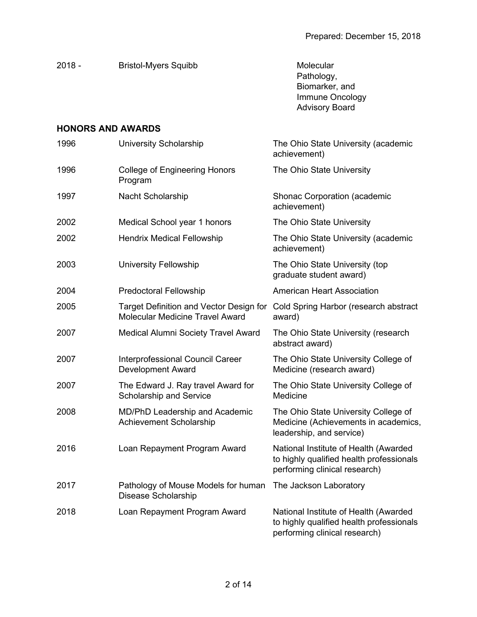| $2018 -$                 | <b>Bristol-Myers Squibb</b> | Molecular<br>Pathology,<br>Biomarker, and<br>Immune Oncology<br><b>Advisory Board</b> |
|--------------------------|-----------------------------|---------------------------------------------------------------------------------------|
| <b>HONORS AND AWARDS</b> |                             |                                                                                       |

| 1996 | <b>University Scholarship</b>                                              | The Ohio State University (academic<br>achievement)                                                                |
|------|----------------------------------------------------------------------------|--------------------------------------------------------------------------------------------------------------------|
| 1996 | <b>College of Engineering Honors</b><br>Program                            | The Ohio State University                                                                                          |
| 1997 | Nacht Scholarship                                                          | <b>Shonac Corporation (academic</b><br>achievement)                                                                |
| 2002 | Medical School year 1 honors                                               | The Ohio State University                                                                                          |
| 2002 | <b>Hendrix Medical Fellowship</b>                                          | The Ohio State University (academic<br>achievement)                                                                |
| 2003 | University Fellowship                                                      | The Ohio State University (top<br>graduate student award)                                                          |
| 2004 | <b>Predoctoral Fellowship</b>                                              | <b>American Heart Association</b>                                                                                  |
| 2005 | Target Definition and Vector Design for<br>Molecular Medicine Travel Award | Cold Spring Harbor (research abstract<br>award)                                                                    |
| 2007 | Medical Alumni Society Travel Award                                        | The Ohio State University (research<br>abstract award)                                                             |
| 2007 | Interprofessional Council Career<br><b>Development Award</b>               | The Ohio State University College of<br>Medicine (research award)                                                  |
| 2007 | The Edward J. Ray travel Award for<br><b>Scholarship and Service</b>       | The Ohio State University College of<br>Medicine                                                                   |
| 2008 | MD/PhD Leadership and Academic<br>Achievement Scholarship                  | The Ohio State University College of<br>Medicine (Achievements in academics,<br>leadership, and service)           |
| 2016 | Loan Repayment Program Award                                               | National Institute of Health (Awarded<br>to highly qualified health professionals<br>performing clinical research) |
| 2017 | Pathology of Mouse Models for human<br><b>Disease Scholarship</b>          | The Jackson Laboratory                                                                                             |
| 2018 | Loan Repayment Program Award                                               | National Institute of Health (Awarded<br>to highly qualified health professionals<br>performing clinical research) |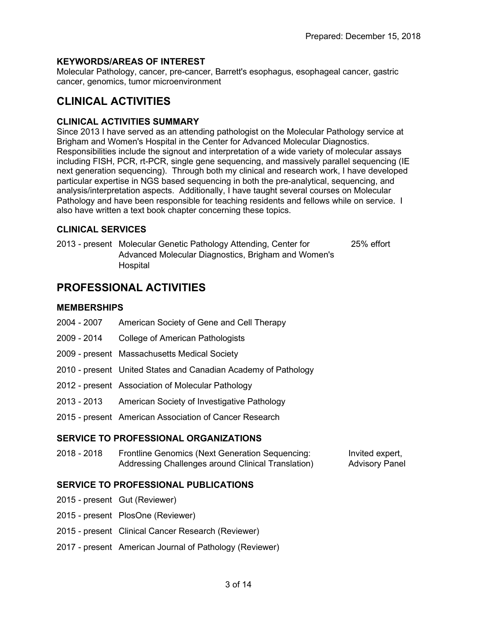#### **KEYWORDS/AREAS OF INTEREST**

Molecular Pathology, cancer, pre-cancer, Barrett's esophagus, esophageal cancer, gastric cancer, genomics, tumor microenvironment

# **CLINICAL ACTIVITIES**

#### **CLINICAL ACTIVITIES SUMMARY**

Since 2013 I have served as an attending pathologist on the Molecular Pathology service at Brigham and Women's Hospital in the Center for Advanced Molecular Diagnostics. Responsibilities include the signout and interpretation of a wide variety of molecular assays including FISH, PCR, rt-PCR, single gene sequencing, and massively parallel sequencing (IE next generation sequencing). Through both my clinical and research work, I have developed particular expertise in NGS based sequencing in both the pre-analytical, sequencing, and analysis/interpretation aspects. Additionally, I have taught several courses on Molecular Pathology and have been responsible for teaching residents and fellows while on service. I also have written a text book chapter concerning these topics.

# **CLINICAL SERVICES**

2013 - present Molecular Genetic Pathology Attending, Center for Advanced Molecular Diagnostics, Brigham and Women's Hospital 25% effort

# **PROFESSIONAL ACTIVITIES**

#### **MEMBERSHIPS**

- 2004 2007 American Society of Gene and Cell Therapy
- 2009 2014 College of American Pathologists
- 2009 present Massachusetts Medical Society
- 2010 present United States and Canadian Academy of Pathology
- 2012 present Association of Molecular Pathology
- 2013 2013 American Society of Investigative Pathology
- 2015 present American Association of Cancer Research

#### **SERVICE TO PROFESSIONAL ORGANIZATIONS**

2018 - 2018 Frontline Genomics (Next Generation Sequencing: Addressing Challenges around Clinical Translation) Invited expert, Advisory Panel

#### **SERVICE TO PROFESSIONAL PUBLICATIONS**

- 2015 present Gut (Reviewer)
- 2015 present PlosOne (Reviewer)
- 2015 present Clinical Cancer Research (Reviewer)
- 2017 present American Journal of Pathology (Reviewer)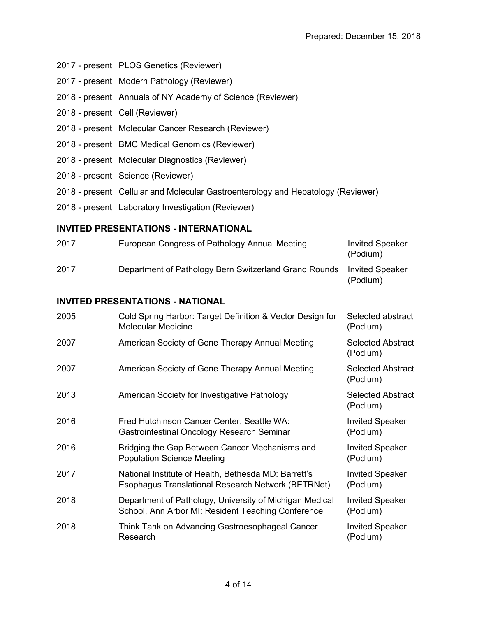- 2017 present PLOS Genetics (Reviewer)
- 2017 present Modern Pathology (Reviewer)
- 2018 present Annuals of NY Academy of Science (Reviewer)
- 2018 present Cell (Reviewer)
- 2018 present Molecular Cancer Research (Reviewer)
- 2018 present BMC Medical Genomics (Reviewer)
- 2018 present Molecular Diagnostics (Reviewer)
- 2018 present Science (Reviewer)
- 2018 present Cellular and Molecular Gastroenterology and Hepatology (Reviewer)
- 2018 present Laboratory Investigation (Reviewer)

#### **INVITED PRESENTATIONS - INTERNATIONAL**

| 2017 | European Congress of Pathology Annual Meeting         | <b>Invited Speaker</b><br>(Podium) |
|------|-------------------------------------------------------|------------------------------------|
| 2017 | Department of Pathology Bern Switzerland Grand Rounds | <b>Invited Speaker</b><br>(Podium) |

#### **INVITED PRESENTATIONS - NATIONAL**

| 2005 | Cold Spring Harbor: Target Definition & Vector Design for<br><b>Molecular Medicine</b>                        | Selected abstract<br>(Podium)        |
|------|---------------------------------------------------------------------------------------------------------------|--------------------------------------|
| 2007 | American Society of Gene Therapy Annual Meeting                                                               | <b>Selected Abstract</b><br>(Podium) |
| 2007 | American Society of Gene Therapy Annual Meeting                                                               | <b>Selected Abstract</b><br>(Podium) |
| 2013 | American Society for Investigative Pathology                                                                  | <b>Selected Abstract</b><br>(Podium) |
| 2016 | Fred Hutchinson Cancer Center, Seattle WA:<br>Gastrointestinal Oncology Research Seminar                      | <b>Invited Speaker</b><br>(Podium)   |
| 2016 | Bridging the Gap Between Cancer Mechanisms and<br><b>Population Science Meeting</b>                           | <b>Invited Speaker</b><br>(Podium)   |
| 2017 | National Institute of Health, Bethesda MD: Barrett's<br>Esophagus Translational Research Network (BETRNet)    | <b>Invited Speaker</b><br>(Podium)   |
| 2018 | Department of Pathology, University of Michigan Medical<br>School, Ann Arbor MI: Resident Teaching Conference | <b>Invited Speaker</b><br>(Podium)   |
| 2018 | Think Tank on Advancing Gastroesophageal Cancer<br>Research                                                   | <b>Invited Speaker</b><br>(Podium)   |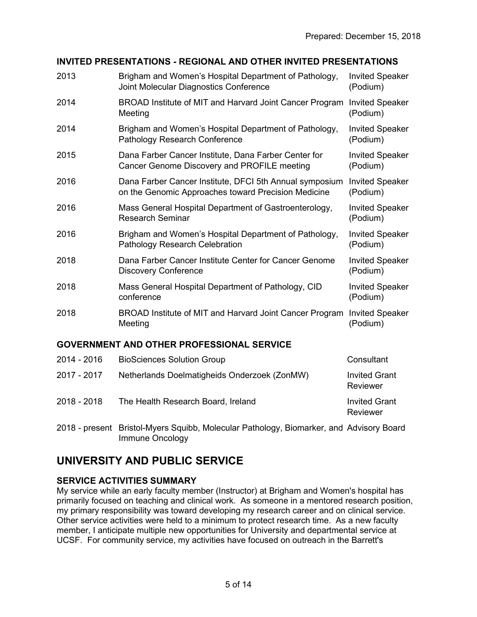# **INVITED PRESENTATIONS - REGIONAL AND OTHER INVITED PRESENTATIONS**

| 2013        | Brigham and Women's Hospital Department of Pathology,<br>Joint Molecular Diagnostics Conference                | <b>Invited Speaker</b><br>(Podium) |
|-------------|----------------------------------------------------------------------------------------------------------------|------------------------------------|
| 2014        | BROAD Institute of MIT and Harvard Joint Cancer Program<br>Meeting                                             | <b>Invited Speaker</b><br>(Podium) |
| 2014        | Brigham and Women's Hospital Department of Pathology,<br>Pathology Research Conference                         | <b>Invited Speaker</b><br>(Podium) |
| 2015        | Dana Farber Cancer Institute, Dana Farber Center for<br>Cancer Genome Discovery and PROFILE meeting            | <b>Invited Speaker</b><br>(Podium) |
| 2016        | Dana Farber Cancer Institute, DFCI 5th Annual symposium<br>on the Genomic Approaches toward Precision Medicine | <b>Invited Speaker</b><br>(Podium) |
| 2016        | Mass General Hospital Department of Gastroenterology,<br><b>Research Seminar</b>                               | <b>Invited Speaker</b><br>(Podium) |
| 2016        | Brigham and Women's Hospital Department of Pathology,<br><b>Pathology Research Celebration</b>                 | <b>Invited Speaker</b><br>(Podium) |
| 2018        | Dana Farber Cancer Institute Center for Cancer Genome<br><b>Discovery Conference</b>                           | <b>Invited Speaker</b><br>(Podium) |
| 2018        | Mass General Hospital Department of Pathology, CID<br>conference                                               | <b>Invited Speaker</b><br>(Podium) |
| 2018        | BROAD Institute of MIT and Harvard Joint Cancer Program<br>Meeting                                             | <b>Invited Speaker</b><br>(Podium) |
|             | <b>GOVERNMENT AND OTHER PROFESSIONAL SERVICE</b>                                                               |                                    |
| 2014 - 2016 | <b>BioSciences Solution Group</b>                                                                              | Consultant                         |
| 2017 - 2017 | Netherlands Doelmatigheids Onderzoek (ZonMW)                                                                   | <b>Invited Grant</b><br>Reviewer   |

- 2018 2018 The Health Research Board, Ireland Invited Grant Reviewer
- 2018 present Bristol-Myers Squibb, Molecular Pathology, Biomarker, and Advisory Board Immune Oncology

# **UNIVERSITY AND PUBLIC SERVICE**

# **SERVICE ACTIVITIES SUMMARY**

My service while an early faculty member (Instructor) at Brigham and Women's hospital has primarily focused on teaching and clinical work. As someone in a mentored research position, my primary responsibility was toward developing my research career and on clinical service. Other service activities were held to a minimum to protect research time. As a new faculty member, I anticipate multiple new opportunities for University and departmental service at UCSF. For community service, my activities have focused on outreach in the Barrett's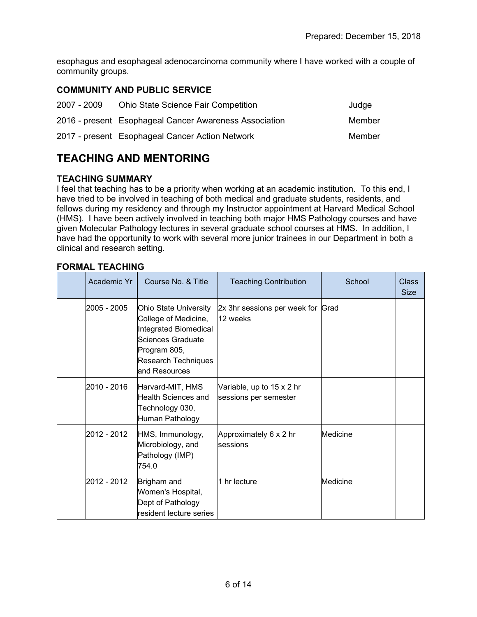esophagus and esophageal adenocarcinoma community where I have worked with a couple of community groups.

# **COMMUNITY AND PUBLIC SERVICE**

| 2007 - 2009 | <b>Ohio State Science Fair Competition</b>             | Judge  |
|-------------|--------------------------------------------------------|--------|
|             | 2016 - present Esophageal Cancer Awareness Association | Member |
|             | 2017 - present Esophageal Cancer Action Network        | Member |

# **TEACHING AND MENTORING**

#### **TEACHING SUMMARY**

I feel that teaching has to be a priority when working at an academic institution. To this end, I have tried to be involved in teaching of both medical and graduate students, residents, and fellows during my residency and through my Instructor appointment at Harvard Medical School (HMS). I have been actively involved in teaching both major HMS Pathology courses and have given Molecular Pathology lectures in several graduate school courses at HMS. In addition, I have had the opportunity to work with several more junior trainees in our Department in both a clinical and research setting.

#### **FORMAL TEACHING**

| Academic Yr | Course No. & Title                                                                                                                                   | <b>Teaching Contribution</b>                       | School   | Class<br>Size |
|-------------|------------------------------------------------------------------------------------------------------------------------------------------------------|----------------------------------------------------|----------|---------------|
| 2005 - 2005 | Ohio State University<br>College of Medicine,<br>Integrated Biomedical<br>Sciences Graduate<br>Program 805,<br>Research Techniques<br>land Resources | 2x 3hr sessions per week for Grad<br>12 weeks      |          |               |
| 2010 - 2016 | Harvard-MIT, HMS<br>Health Sciences and<br>Technology 030,<br>Human Pathology                                                                        | Variable, up to 15 x 2 hr<br>sessions per semester |          |               |
| 2012 - 2012 | HMS, Immunology,<br>Microbiology, and<br>Pathology (IMP)<br>754.0                                                                                    | Approximately 6 x 2 hr<br><b>sessions</b>          | Medicine |               |
| 2012 - 2012 | Brigham and<br>Women's Hospital,<br>Dept of Pathology<br>lresident lecture series                                                                    | 1 hr lecture                                       | Medicine |               |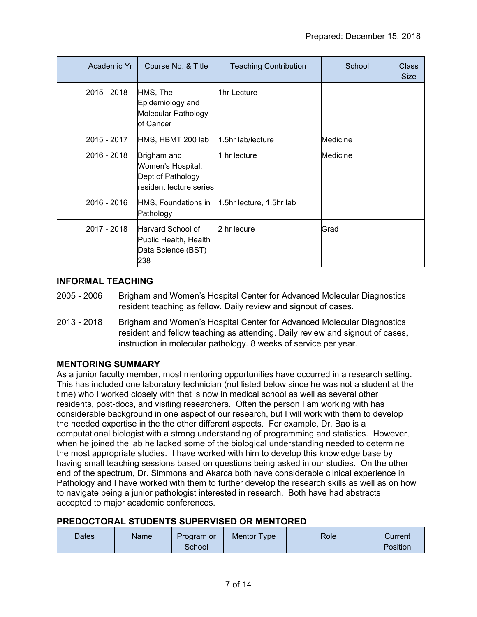| Academic Yr  | Course No. & Title                                                               | <b>Teaching Contribution</b> | School   | <b>Class</b><br><b>Size</b> |
|--------------|----------------------------------------------------------------------------------|------------------------------|----------|-----------------------------|
| 2015 - 2018  | HMS, The<br>Epidemiology and<br>Molecular Pathology<br>of Cancer                 | 1hr Lecture                  |          |                             |
| 2015 - 2017  | HMS, HBMT 200 lab                                                                | l1.5hr lab/lecture           | Medicine |                             |
| 2016 - 2018  | Brigham and<br>Women's Hospital,<br>Dept of Pathology<br>resident lecture series | 1 hr lecture                 | Medicine |                             |
| 2016 - 2016  | HMS, Foundations in<br>Pathology                                                 | 1.5hr lecture, 1.5hr lab     |          |                             |
| l2017 - 2018 | lHarvard School of<br>Public Health, Health<br>Data Science (BST)<br>238         | 2 hr lecure                  | Grad     |                             |

#### **INFORMAL TEACHING**

- 2005 2006 Brigham and Women's Hospital Center for Advanced Molecular Diagnostics resident teaching as fellow. Daily review and signout of cases.
- 2013 2018 Brigham and Women's Hospital Center for Advanced Molecular Diagnostics resident and fellow teaching as attending. Daily review and signout of cases, instruction in molecular pathology. 8 weeks of service per year.

# **MENTORING SUMMARY**

As a junior faculty member, most mentoring opportunities have occurred in a research setting. This has included one laboratory technician (not listed below since he was not a student at the time) who I worked closely with that is now in medical school as well as several other residents, post-docs, and visiting researchers. Often the person I am working with has considerable background in one aspect of our research, but I will work with them to develop the needed expertise in the the other different aspects. For example, Dr. Bao is a computational biologist with a strong understanding of programming and statistics. However, when he joined the lab he lacked some of the biological understanding needed to determine the most appropriate studies. I have worked with him to develop this knowledge base by having small teaching sessions based on questions being asked in our studies. On the other end of the spectrum, Dr. Simmons and Akarca both have considerable clinical experience in Pathology and I have worked with them to further develop the research skills as well as on how to navigate being a junior pathologist interested in research. Both have had abstracts accepted to major academic conferences.

#### **PREDOCTORAL STUDENTS SUPERVISED OR MENTORED**

| Dates | Name | Program or | Mentor Type | Role | Current         |
|-------|------|------------|-------------|------|-----------------|
|       |      | School     |             |      | <b>Position</b> |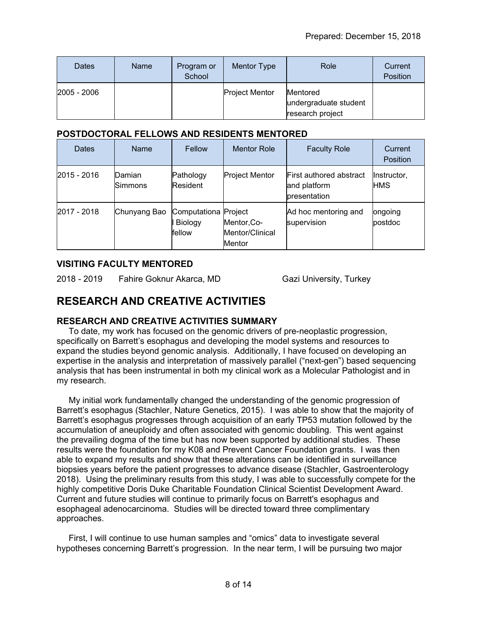| <b>Dates</b>    | Name | Program or<br>School | Mentor Type           | Role                                                         | Current<br>Position |
|-----------------|------|----------------------|-----------------------|--------------------------------------------------------------|---------------------|
| $ 2005 - 2006 $ |      |                      | <b>Project Mentor</b> | <b>Mentored</b><br>undergraduate student<br>research project |                     |

#### **POSTDOCTORAL FELLOWS AND RESIDENTS MENTORED**

| Dates       | <b>Name</b>       | Fellow                                    | <b>Mentor Role</b>                              | <b>Faculty Role</b>                                            | Current<br><b>Position</b> |
|-------------|-------------------|-------------------------------------------|-------------------------------------------------|----------------------------------------------------------------|----------------------------|
| 2015 - 2016 | Damian<br>Simmons | Pathology<br>Resident                     | <b>Project Mentor</b>                           | <b>First authored abstract</b><br>and platform<br>presentation | Instructor,<br><b>HMS</b>  |
| 2017 - 2018 | Chunyang Bao      | Computationa Project<br>Biology<br>fellow | Mentor, Co-<br>Mentor/Clinical<br><b>Mentor</b> | Ad hoc mentoring and<br>supervision                            | ongoing<br>postdoc         |

# **VISITING FACULTY MENTORED**

2018 - 2019 Fahire Goknur Akarca, MD Gazi University, Turkey

# **RESEARCH AND CREATIVE ACTIVITIES**

# **RESEARCH AND CREATIVE ACTIVITIES SUMMARY**

 To date, my work has focused on the genomic drivers of pre-neoplastic progression, specifically on Barrett's esophagus and developing the model systems and resources to expand the studies beyond genomic analysis. Additionally, I have focused on developing an expertise in the analysis and interpretation of massively parallel ("next-gen") based sequencing analysis that has been instrumental in both my clinical work as a Molecular Pathologist and in my research.

 My initial work fundamentally changed the understanding of the genomic progression of Barrett's esophagus (Stachler, Nature Genetics, 2015). I was able to show that the majority of Barrett's esophagus progresses through acquisition of an early TP53 mutation followed by the accumulation of aneuploidy and often associated with genomic doubling. This went against the prevailing dogma of the time but has now been supported by additional studies. These results were the foundation for my K08 and Prevent Cancer Foundation grants. I was then able to expand my results and show that these alterations can be identified in surveillance biopsies years before the patient progresses to advance disease (Stachler, Gastroenterology 2018). Using the preliminary results from this study, I was able to successfully compete for the highly competitive Doris Duke Charitable Foundation Clinical Scientist Development Award. Current and future studies will continue to primarily focus on Barrett's esophagus and esophageal adenocarcinoma. Studies will be directed toward three complimentary approaches.

 First, I will continue to use human samples and "omics" data to investigate several hypotheses concerning Barrett's progression. In the near term, I will be pursuing two major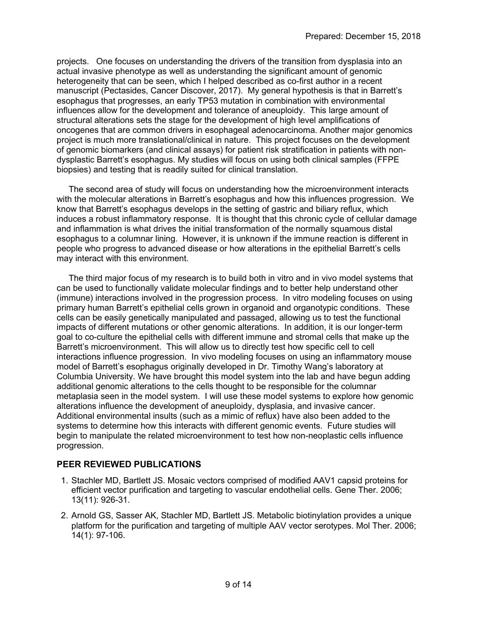projects. One focuses on understanding the drivers of the transition from dysplasia into an actual invasive phenotype as well as understanding the significant amount of genomic heterogeneity that can be seen, which I helped described as co-first author in a recent manuscript (Pectasides, Cancer Discover, 2017). My general hypothesis is that in Barrett's esophagus that progresses, an early TP53 mutation in combination with environmental influences allow for the development and tolerance of aneuploidy. This large amount of structural alterations sets the stage for the development of high level amplifications of oncogenes that are common drivers in esophageal adenocarcinoma. Another major genomics project is much more translational/clinical in nature. This project focuses on the development of genomic biomarkers (and clinical assays) for patient risk stratification in patients with nondysplastic Barrett's esophagus. My studies will focus on using both clinical samples (FFPE biopsies) and testing that is readily suited for clinical translation.

 The second area of study will focus on understanding how the microenvironment interacts with the molecular alterations in Barrett's esophagus and how this influences progression. We know that Barrett's esophagus develops in the setting of gastric and biliary reflux, which induces a robust inflammatory response. It is thought that this chronic cycle of cellular damage and inflammation is what drives the initial transformation of the normally squamous distal esophagus to a columnar lining. However, it is unknown if the immune reaction is different in people who progress to advanced disease or how alterations in the epithelial Barrett's cells may interact with this environment.

 The third major focus of my research is to build both in vitro and in vivo model systems that can be used to functionally validate molecular findings and to better help understand other (immune) interactions involved in the progression process. In vitro modeling focuses on using primary human Barrett's epithelial cells grown in organoid and organotypic conditions. These cells can be easily genetically manipulated and passaged, allowing us to test the functional impacts of different mutations or other genomic alterations. In addition, it is our longer-term goal to co-culture the epithelial cells with different immune and stromal cells that make up the Barrett's microenvironment. This will allow us to directly test how specific cell to cell interactions influence progression. In vivo modeling focuses on using an inflammatory mouse model of Barrett's esophagus originally developed in Dr. Timothy Wang's laboratory at Columbia University. We have brought this model system into the lab and have begun adding additional genomic alterations to the cells thought to be responsible for the columnar metaplasia seen in the model system. I will use these model systems to explore how genomic alterations influence the development of aneuploidy, dysplasia, and invasive cancer. Additional environmental insults (such as a mimic of reflux) have also been added to the systems to determine how this interacts with different genomic events. Future studies will begin to manipulate the related microenvironment to test how non-neoplastic cells influence progression.

# **PEER REVIEWED PUBLICATIONS**

- 1. Stachler MD, Bartlett JS. Mosaic vectors comprised of modified AAV1 capsid proteins for efficient vector purification and targeting to vascular endothelial cells. Gene Ther. 2006; 13(11): 926-31.
- 2. Arnold GS, Sasser AK, Stachler MD, Bartlett JS. Metabolic biotinylation provides a unique platform for the purification and targeting of multiple AAV vector serotypes. Mol Ther. 2006; 14(1): 97-106.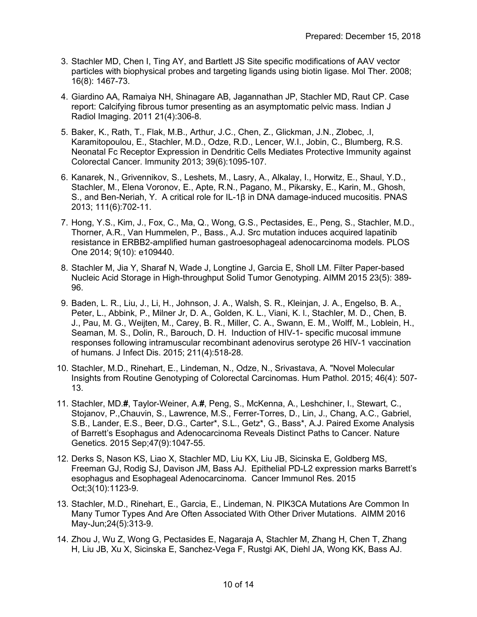- 3. Stachler MD, Chen I, Ting AY, and Bartlett JS Site specific modifications of AAV vector particles with biophysical probes and targeting ligands using biotin ligase. Mol Ther. 2008; 16(8): 1467-73.
- 4. Giardino AA, Ramaiya NH, Shinagare AB, Jagannathan JP, Stachler MD, Raut CP. Case report: Calcifying fibrous tumor presenting as an asymptomatic pelvic mass. Indian J Radiol Imaging. 2011 21(4):306-8.
- 5. Baker, K., Rath, T., Flak, M.B., Arthur, J.C., Chen, Z., Glickman, J.N., Zlobec, .I, Karamitopoulou, E., Stachler, M.D., Odze, R.D., Lencer, W.I., Jobin, C., Blumberg, R.S. Neonatal Fc Receptor Expression in Dendritic Cells Mediates Protective Immunity against Colorectal Cancer. Immunity 2013; 39(6):1095-107.
- 6. Kanarek, N., Grivennikov, S., Leshets, M., Lasry, A., Alkalay, I., Horwitz, E., Shaul, Y.D., Stachler, M., Elena Voronov, E., Apte, R.N., Pagano, M., Pikarsky, E., Karin, M., Ghosh, S., and Ben-Neriah, Y. A critical role for IL-1β in DNA damage-induced mucositis. PNAS 2013; 111(6):702-11.
- 7. Hong, Y.S., Kim, J., Fox, C., Ma, Q., Wong, G.S., Pectasides, E., Peng, S., Stachler, M.D., Thorner, A.R., Van Hummelen, P., Bass., A.J. Src mutation induces acquired lapatinib resistance in ERBB2-amplified human gastroesophageal adenocarcinoma models. PLOS One 2014; 9(10): e109440.
- 8. Stachler M, Jia Y, Sharaf N, Wade J, Longtine J, Garcia E, Sholl LM. Filter Paper-based Nucleic Acid Storage in High-throughput Solid Tumor Genotyping. AIMM 2015 23(5): 389- 96.
- 9. Baden, L. R., Liu, J., Li, H., Johnson, J. A., Walsh, S. R., Kleinjan, J. A., Engelso, B. A., Peter, L., Abbink, P., Milner Jr, D. A., Golden, K. L., Viani, K. l., Stachler, M. D., Chen, B. J., Pau, M. G., Weijten, M., Carey, B. R., Miller, C. A., Swann, E. M., Wolff, M., Loblein, H., Seaman, M. S., Dolin, R., Barouch, D. H. Induction of HIV-1- specific mucosal immune responses following intramuscular recombinant adenovirus serotype 26 HIV-1 vaccination of humans. J Infect Dis. 2015; 211(4):518-28.
- 10. Stachler, M.D., Rinehart, E., Lindeman, N., Odze, N., Srivastava, A. "Novel Molecular Insights from Routine Genotyping of Colorectal Carcinomas. Hum Pathol. 2015; 46(4): 507- 13.
- 11. Stachler, MD.**#**, Taylor-Weiner, A.**#**, Peng, S., McKenna, A., Leshchiner, I., Stewart, C., Stojanov, P.,Chauvin, S., Lawrence, M.S., Ferrer-Torres, D., Lin, J., Chang, A.C., Gabriel, S.B., Lander, E.S., Beer, D.G., Carter\*, S.L., Getz\*, G., Bass\*, A.J. Paired Exome Analysis of Barrett's Esophagus and Adenocarcinoma Reveals Distinct Paths to Cancer. Nature Genetics. 2015 Sep;47(9):1047-55.
- 12. Derks S, Nason KS, Liao X, Stachler MD, Liu KX, Liu JB, Sicinska E, Goldberg MS, Freeman GJ, Rodig SJ, Davison JM, Bass AJ. Epithelial PD-L2 expression marks Barrett's esophagus and Esophageal Adenocarcinoma. Cancer Immunol Res. 2015 Oct;3(10):1123-9.
- 13. Stachler, M.D., Rinehart, E., Garcia, E., Lindeman, N. PIK3CA Mutations Are Common In Many Tumor Types And Are Often Associated With Other Driver Mutations. AIMM 2016 May-Jun;24(5):313-9.
- 14. Zhou J, Wu Z, Wong G, Pectasides E, Nagaraja A, Stachler M, Zhang H, Chen T, Zhang H, Liu JB, Xu X, Sicinska E, Sanchez-Vega F, Rustgi AK, Diehl JA, Wong KK, Bass AJ.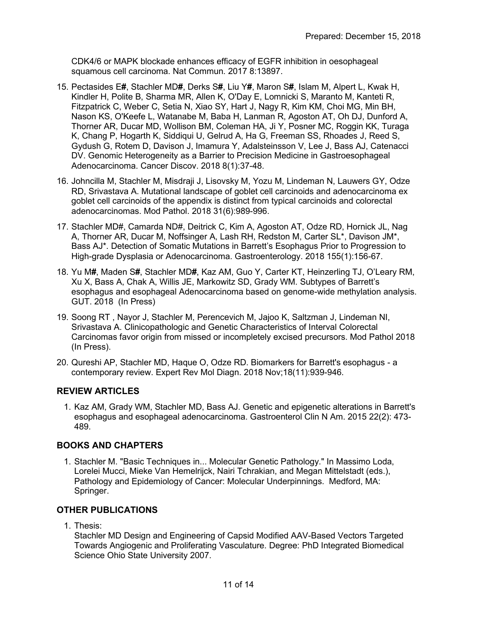CDK4/6 or MAPK blockade enhances efficacy of EGFR inhibition in oesophageal squamous cell carcinoma. Nat Commun. 2017 8:13897.

- 15. Pectasides E**#**, Stachler MD**#**, Derks S**#**, Liu Y**#**, Maron S**#**, Islam M, Alpert L, Kwak H, Kindler H, Polite B, Sharma MR, Allen K, O'Day E, Lomnicki S, Maranto M, Kanteti R, Fitzpatrick C, Weber C, Setia N, Xiao SY, Hart J, Nagy R, Kim KM, Choi MG, Min BH, Nason KS, O'Keefe L, Watanabe M, Baba H, Lanman R, Agoston AT, Oh DJ, Dunford A, Thorner AR, Ducar MD, Wollison BM, Coleman HA, Ji Y, Posner MC, Roggin KK, Turaga K, Chang P, Hogarth K, Siddiqui U, Gelrud A, Ha G, Freeman SS, Rhoades J, Reed S, Gydush G, Rotem D, Davison J, Imamura Y, Adalsteinsson V, Lee J, Bass AJ, Catenacci DV. Genomic Heterogeneity as a Barrier to Precision Medicine in Gastroesophageal Adenocarcinoma. Cancer Discov. 2018 8(1):37-48.
- 16. Johncilla M, Stachler M, Misdraji J, Lisovsky M, Yozu M, Lindeman N, Lauwers GY, Odze RD, Srivastava A. Mutational landscape of goblet cell carcinoids and adenocarcinoma ex goblet cell carcinoids of the appendix is distinct from typical carcinoids and colorectal adenocarcinomas. Mod Pathol. 2018 31(6):989-996.
- 17. Stachler MD#, Camarda ND#, Deitrick C, Kim A, Agoston AT, Odze RD, Hornick JL, Nag A, Thorner AR, Ducar M, Noffsinger A, Lash RH, Redston M, Carter SL\*, Davison JM\*, Bass AJ\*. Detection of Somatic Mutations in Barrett's Esophagus Prior to Progression to High-grade Dysplasia or Adenocarcinoma. Gastroenterology. 2018 155(1):156-67.
- 18. Yu M**#**, Maden S**#**, Stachler MD**#**, Kaz AM, Guo Y, Carter KT, Heinzerling TJ, O'Leary RM, Xu X, Bass A, Chak A, Willis JE, Markowitz SD, Grady WM. Subtypes of Barrett's esophagus and esophageal Adenocarcinoma based on genome-wide methylation analysis. GUT. 2018 (In Press)
- 19. Soong RT , Nayor J, Stachler M, Perencevich M, Jajoo K, Saltzman J, Lindeman NI, Srivastava A. Clinicopathologic and Genetic Characteristics of Interval Colorectal Carcinomas favor origin from missed or incompletely excised precursors. Mod Pathol 2018 (In Press).
- 20. Qureshi AP, Stachler MD, Haque O, Odze RD. Biomarkers for Barrett's esophagus a contemporary review. Expert Rev Mol Diagn. 2018 Nov;18(11):939-946.

# **REVIEW ARTICLES**

1. Kaz AM, Grady WM, Stachler MD, Bass AJ. Genetic and epigenetic alterations in Barrett's esophagus and esophageal adenocarcinoma. Gastroenterol Clin N Am. 2015 22(2): 473- 489.

#### **BOOKS AND CHAPTERS**

1. Stachler M. "Basic Techniques in... Molecular Genetic Pathology." In Massimo Loda, Lorelei Mucci, Mieke Van Hemelrijck, Nairi Tchrakian, and Megan Mittelstadt (eds.), Pathology and Epidemiology of Cancer: Molecular Underpinnings. Medford, MA: Springer.

# **OTHER PUBLICATIONS**

1. Thesis:

Stachler MD Design and Engineering of Capsid Modified AAV-Based Vectors Targeted Towards Angiogenic and Proliferating Vasculature. Degree: PhD Integrated Biomedical Science Ohio State University 2007.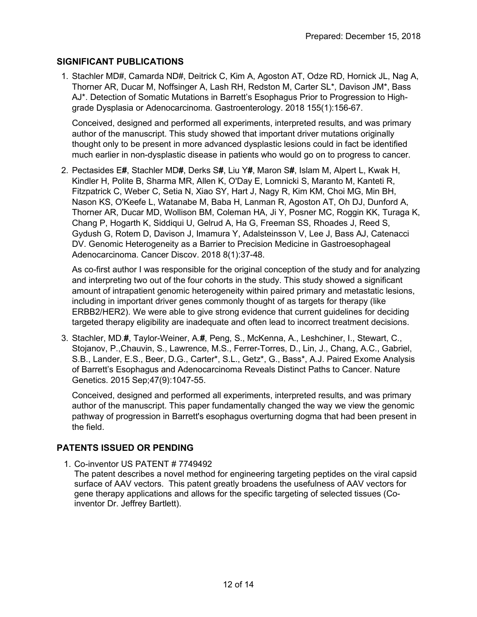### **SIGNIFICANT PUBLICATIONS**

1. Stachler MD#, Camarda ND#, Deitrick C, Kim A, Agoston AT, Odze RD, Hornick JL, Nag A, Thorner AR, Ducar M, Noffsinger A, Lash RH, Redston M, Carter SL\*, Davison JM\*, Bass AJ\*. Detection of Somatic Mutations in Barrett's Esophagus Prior to Progression to Highgrade Dysplasia or Adenocarcinoma. Gastroenterology. 2018 155(1):156-67.

Conceived, designed and performed all experiments, interpreted results, and was primary author of the manuscript. This study showed that important driver mutations originally thought only to be present in more advanced dysplastic lesions could in fact be identified much earlier in non-dysplastic disease in patients who would go on to progress to cancer.

2. Pectasides E**#**, Stachler MD**#**, Derks S**#**, Liu Y**#**, Maron S**#**, Islam M, Alpert L, Kwak H, Kindler H, Polite B, Sharma MR, Allen K, O'Day E, Lomnicki S, Maranto M, Kanteti R, Fitzpatrick C, Weber C, Setia N, Xiao SY, Hart J, Nagy R, Kim KM, Choi MG, Min BH, Nason KS, O'Keefe L, Watanabe M, Baba H, Lanman R, Agoston AT, Oh DJ, Dunford A, Thorner AR, Ducar MD, Wollison BM, Coleman HA, Ji Y, Posner MC, Roggin KK, Turaga K, Chang P, Hogarth K, Siddiqui U, Gelrud A, Ha G, Freeman SS, Rhoades J, Reed S, Gydush G, Rotem D, Davison J, Imamura Y, Adalsteinsson V, Lee J, Bass AJ, Catenacci DV. Genomic Heterogeneity as a Barrier to Precision Medicine in Gastroesophageal Adenocarcinoma. Cancer Discov. 2018 8(1):37-48.

As co-first author I was responsible for the original conception of the study and for analyzing and interpreting two out of the four cohorts in the study. This study showed a significant amount of intrapatient genomic heterogeneity within paired primary and metastatic lesions, including in important driver genes commonly thought of as targets for therapy (like ERBB2/HER2). We were able to give strong evidence that current guidelines for deciding targeted therapy eligibility are inadequate and often lead to incorrect treatment decisions.

3. Stachler, MD.**#**, Taylor-Weiner, A.**#**, Peng, S., McKenna, A., Leshchiner, I., Stewart, C., Stojanov, P.,Chauvin, S., Lawrence, M.S., Ferrer-Torres, D., Lin, J., Chang, A.C., Gabriel, S.B., Lander, E.S., Beer, D.G., Carter\*, S.L., Getz\*, G., Bass\*, A.J. Paired Exome Analysis of Barrett's Esophagus and Adenocarcinoma Reveals Distinct Paths to Cancer. Nature Genetics. 2015 Sep;47(9):1047-55.

Conceived, designed and performed all experiments, interpreted results, and was primary author of the manuscript. This paper fundamentally changed the way we view the genomic pathway of progression in Barrett's esophagus overturning dogma that had been present in the field.

# **PATENTS ISSUED OR PENDING**

1. Co-inventor US PATENT # 7749492

The patent describes a novel method for engineering targeting peptides on the viral capsid surface of AAV vectors. This patent greatly broadens the usefulness of AAV vectors for gene therapy applications and allows for the specific targeting of selected tissues (Coinventor Dr. Jeffrey Bartlett).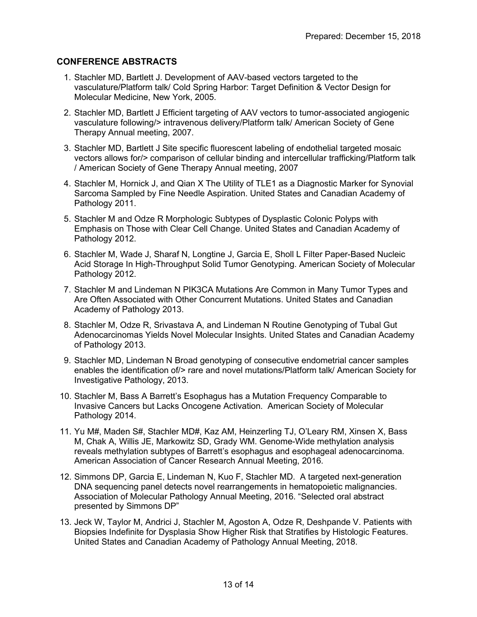#### **CONFERENCE ABSTRACTS**

- 1. Stachler MD, Bartlett J. Development of AAV-based vectors targeted to the vasculature/Platform talk/ Cold Spring Harbor: Target Definition & Vector Design for Molecular Medicine, New York, 2005.
- 2. Stachler MD, Bartlett J Efficient targeting of AAV vectors to tumor-associated angiogenic vasculature following/> intravenous delivery/Platform talk/ American Society of Gene Therapy Annual meeting, 2007.
- 3. Stachler MD, Bartlett J Site specific fluorescent labeling of endothelial targeted mosaic vectors allows for/> comparison of cellular binding and intercellular trafficking/Platform talk / American Society of Gene Therapy Annual meeting, 2007
- 4. Stachler M, Hornick J, and Qian X The Utility of TLE1 as a Diagnostic Marker for Synovial Sarcoma Sampled by Fine Needle Aspiration. United States and Canadian Academy of Pathology 2011.
- 5. Stachler M and Odze R Morphologic Subtypes of Dysplastic Colonic Polyps with Emphasis on Those with Clear Cell Change. United States and Canadian Academy of Pathology 2012.
- 6. Stachler M, Wade J, Sharaf N, Longtine J, Garcia E, Sholl L Filter Paper-Based Nucleic Acid Storage In High-Throughput Solid Tumor Genotyping. American Society of Molecular Pathology 2012.
- 7. Stachler M and Lindeman N PIK3CA Mutations Are Common in Many Tumor Types and Are Often Associated with Other Concurrent Mutations. United States and Canadian Academy of Pathology 2013.
- 8. Stachler M, Odze R, Srivastava A, and Lindeman N Routine Genotyping of Tubal Gut Adenocarcinomas Yields Novel Molecular Insights. United States and Canadian Academy of Pathology 2013.
- 9. Stachler MD, Lindeman N Broad genotyping of consecutive endometrial cancer samples enables the identification of/> rare and novel mutations/Platform talk/ American Society for Investigative Pathology, 2013.
- 10. Stachler M, Bass A Barrett's Esophagus has a Mutation Frequency Comparable to Invasive Cancers but Lacks Oncogene Activation. American Society of Molecular Pathology 2014.
- 11. Yu M#, Maden S#, Stachler MD#, Kaz AM, Heinzerling TJ, O'Leary RM, Xinsen X, Bass M, Chak A, Willis JE, Markowitz SD, Grady WM. Genome-Wide methylation analysis reveals methylation subtypes of Barrett's esophagus and esophageal adenocarcinoma. American Association of Cancer Research Annual Meeting, 2016.
- 12. Simmons DP, Garcia E, Lindeman N, Kuo F, Stachler MD. A targeted next-generation DNA sequencing panel detects novel rearrangements in hematopoietic malignancies. Association of Molecular Pathology Annual Meeting, 2016. "Selected oral abstract presented by Simmons DP"
- 13. Jeck W, Taylor M, Andrici J, Stachler M, Agoston A, Odze R, Deshpande V. Patients with Biopsies Indefinite for Dysplasia Show Higher Risk that Stratifies by Histologic Features. United States and Canadian Academy of Pathology Annual Meeting, 2018.